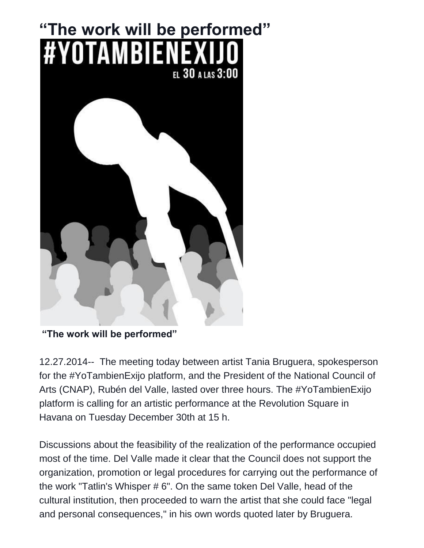## **"The work will be performed" #YOTAMBIENEX** EL 30 A LAS 3:00

**"The work will be performed"**

12.27.2014-- The meeting today between artist Tania Bruguera, spokesperson for the #YoTambienExijo platform, and the President of the National Council of Arts (CNAP), Rubén del Valle, lasted over three hours. The #YoTambienExijo platform is calling for an artistic performance at the Revolution Square in Havana on Tuesday December 30th at 15 h.

Discussions about the feasibility of the realization of the performance occupied most of the time. Del Valle made it clear that the Council does not support the organization, promotion or legal procedures for carrying out the performance of the work "Tatlin's Whisper # 6". On the same token Del Valle, head of the cultural institution, then proceeded to warn the artist that she could face "legal and personal consequences," in his own words quoted later by Bruguera.